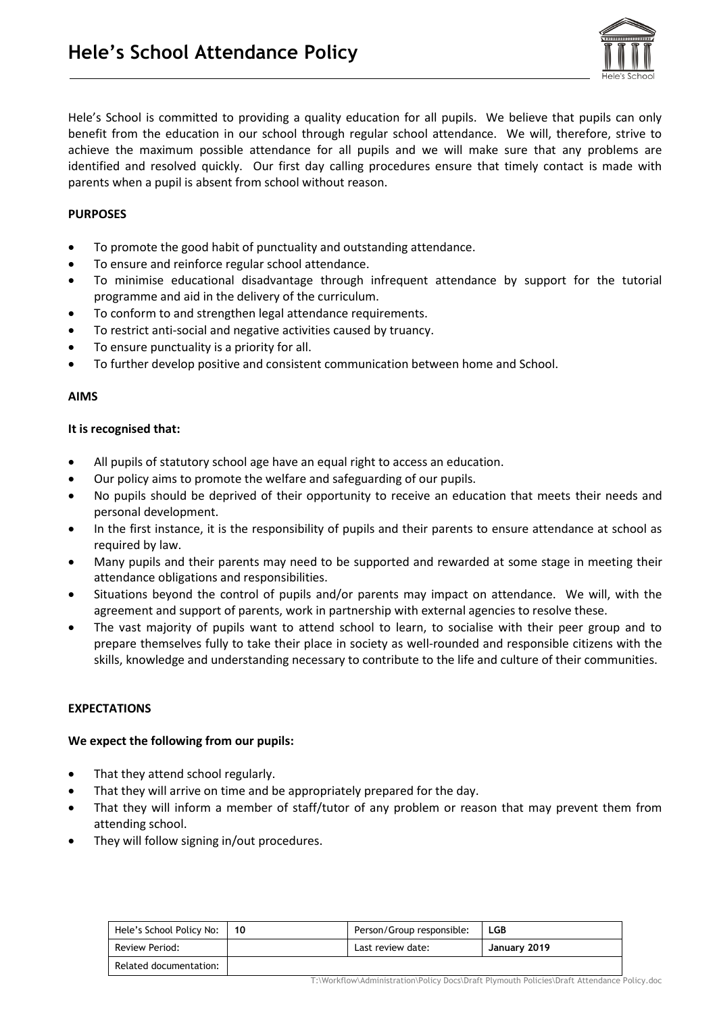

Hele's School is committed to providing a quality education for all pupils. We believe that pupils can only benefit from the education in our school through regular school attendance. We will, therefore, strive to achieve the maximum possible attendance for all pupils and we will make sure that any problems are identified and resolved quickly. Our first day calling procedures ensure that timely contact is made with parents when a pupil is absent from school without reason.

# **PURPOSES**

- To promote the good habit of punctuality and outstanding attendance.
- To ensure and reinforce regular school attendance.
- To minimise educational disadvantage through infrequent attendance by support for the tutorial programme and aid in the delivery of the curriculum.
- To conform to and strengthen legal attendance requirements.
- To restrict anti-social and negative activities caused by truancy.
- To ensure punctuality is a priority for all.
- To further develop positive and consistent communication between home and School.

### **AIMS**

#### **It is recognised that:**

- All pupils of statutory school age have an equal right to access an education.
- Our policy aims to promote the welfare and safeguarding of our pupils.
- No pupils should be deprived of their opportunity to receive an education that meets their needs and personal development.
- In the first instance, it is the responsibility of pupils and their parents to ensure attendance at school as required by law.
- Many pupils and their parents may need to be supported and rewarded at some stage in meeting their attendance obligations and responsibilities.
- Situations beyond the control of pupils and/or parents may impact on attendance. We will, with the agreement and support of parents, work in partnership with external agencies to resolve these.
- The vast majority of pupils want to attend school to learn, to socialise with their peer group and to prepare themselves fully to take their place in society as well-rounded and responsible citizens with the skills, knowledge and understanding necessary to contribute to the life and culture of their communities.

### **EXPECTATIONS**

### **We expect the following from our pupils:**

- That they attend school regularly.
- That they will arrive on time and be appropriately prepared for the day.
- That they will inform a member of staff/tutor of any problem or reason that may prevent them from attending school.
- They will follow signing in/out procedures.

| Hele's School Policy No: | 10 | Person/Group responsible: | LGB          |
|--------------------------|----|---------------------------|--------------|
| Review Period:           |    | Last review date:         | January 2019 |
| Related documentation:   |    |                           |              |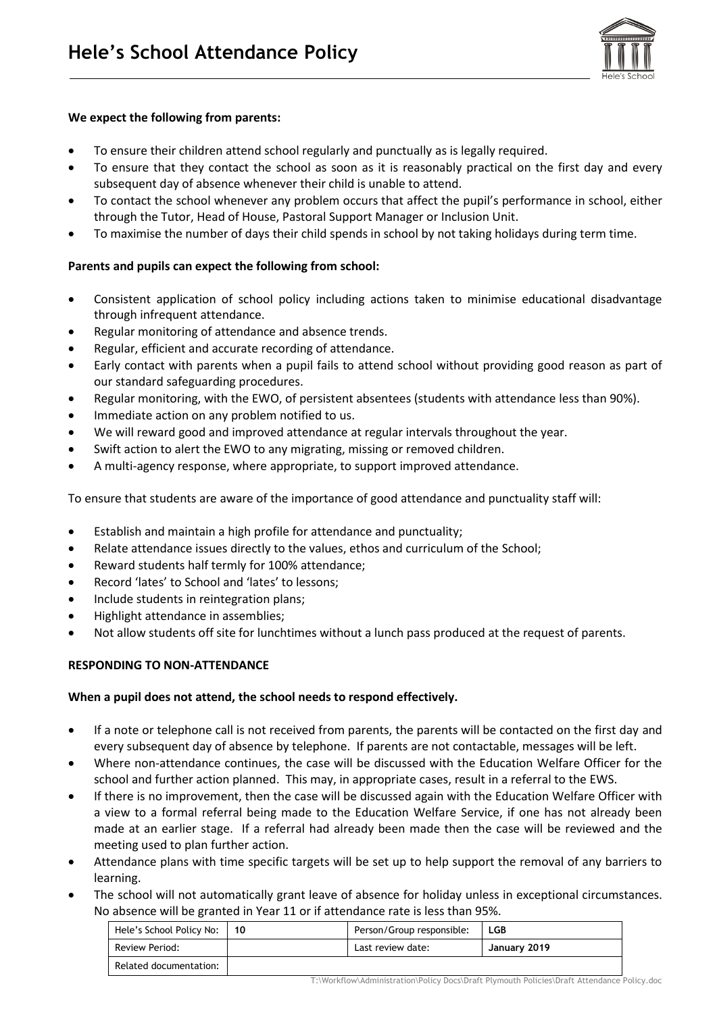

## **We expect the following from parents:**

- To ensure their children attend school regularly and punctually as is legally required.
- To ensure that they contact the school as soon as it is reasonably practical on the first day and every subsequent day of absence whenever their child is unable to attend.
- To contact the school whenever any problem occurs that affect the pupil's performance in school, either through the Tutor, Head of House, Pastoral Support Manager or Inclusion Unit.
- To maximise the number of days their child spends in school by not taking holidays during term time.

### **Parents and pupils can expect the following from school:**

- Consistent application of school policy including actions taken to minimise educational disadvantage through infrequent attendance.
- Regular monitoring of attendance and absence trends.
- Regular, efficient and accurate recording of attendance.
- Early contact with parents when a pupil fails to attend school without providing good reason as part of our standard safeguarding procedures.
- Regular monitoring, with the EWO, of persistent absentees (students with attendance less than 90%).
- Immediate action on any problem notified to us.
- We will reward good and improved attendance at regular intervals throughout the year.
- Swift action to alert the EWO to any migrating, missing or removed children.
- A multi-agency response, where appropriate, to support improved attendance.

To ensure that students are aware of the importance of good attendance and punctuality staff will:

- Establish and maintain a high profile for attendance and punctuality;
- Relate attendance issues directly to the values, ethos and curriculum of the School;
- Reward students half termly for 100% attendance;
- Record 'lates' to School and 'lates' to lessons;
- Include students in reintegration plans;
- Highlight attendance in assemblies;
- Not allow students off site for lunchtimes without a lunch pass produced at the request of parents.

### **RESPONDING TO NON-ATTENDANCE**

### **When a pupil does not attend, the school needs to respond effectively.**

- If a note or telephone call is not received from parents, the parents will be contacted on the first day and every subsequent day of absence by telephone. If parents are not contactable, messages will be left.
- Where non-attendance continues, the case will be discussed with the Education Welfare Officer for the school and further action planned. This may, in appropriate cases, result in a referral to the EWS.
- If there is no improvement, then the case will be discussed again with the Education Welfare Officer with a view to a formal referral being made to the Education Welfare Service, if one has not already been made at an earlier stage. If a referral had already been made then the case will be reviewed and the meeting used to plan further action.
- Attendance plans with time specific targets will be set up to help support the removal of any barriers to learning.
- The school will not automatically grant leave of absence for holiday unless in exceptional circumstances. No absence will be granted in Year 11 or if attendance rate is less than 95%.

| Hele's School Policy No: | 10 | Person/Group responsible: | LGB          |
|--------------------------|----|---------------------------|--------------|
| Review Period:           |    | Last review date:         | January 2019 |
| Related documentation:   |    |                           |              |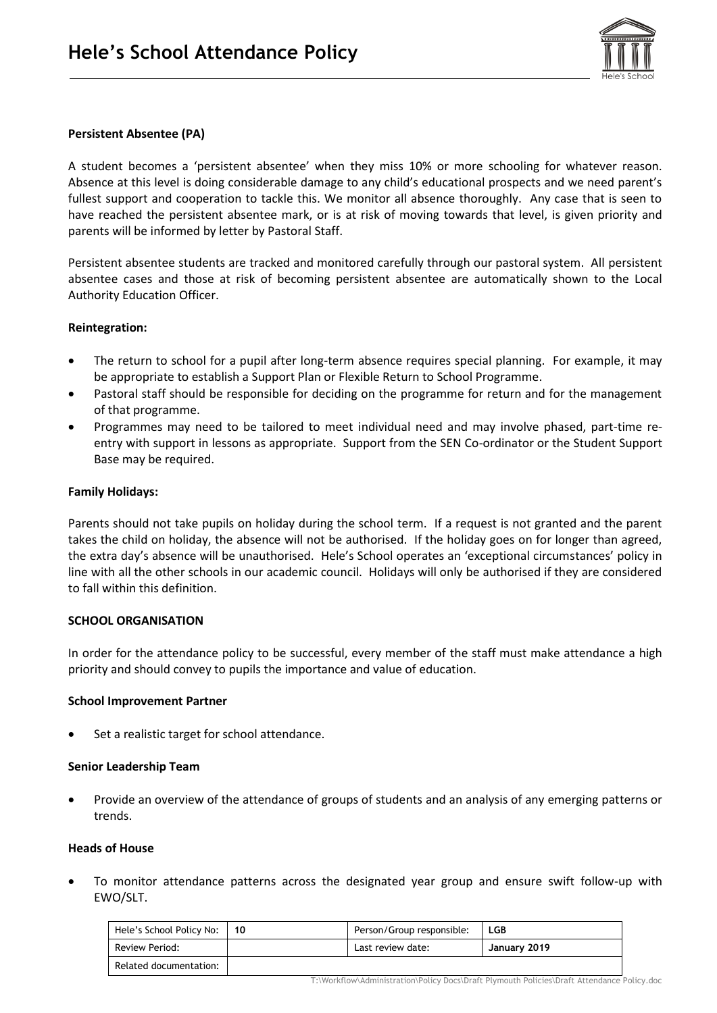

### **Persistent Absentee (PA)**

A student becomes a 'persistent absentee' when they miss 10% or more schooling for whatever reason. Absence at this level is doing considerable damage to any child's educational prospects and we need parent's fullest support and cooperation to tackle this. We monitor all absence thoroughly. Any case that is seen to have reached the persistent absentee mark, or is at risk of moving towards that level, is given priority and parents will be informed by letter by Pastoral Staff.

Persistent absentee students are tracked and monitored carefully through our pastoral system. All persistent absentee cases and those at risk of becoming persistent absentee are automatically shown to the Local Authority Education Officer.

### **Reintegration:**

- The return to school for a pupil after long-term absence requires special planning. For example, it may be appropriate to establish a Support Plan or Flexible Return to School Programme.
- Pastoral staff should be responsible for deciding on the programme for return and for the management of that programme.
- Programmes may need to be tailored to meet individual need and may involve phased, part-time reentry with support in lessons as appropriate. Support from the SEN Co-ordinator or the Student Support Base may be required.

### **Family Holidays:**

Parents should not take pupils on holiday during the school term. If a request is not granted and the parent takes the child on holiday, the absence will not be authorised. If the holiday goes on for longer than agreed, the extra day's absence will be unauthorised. Hele's School operates an 'exceptional circumstances' policy in line with all the other schools in our academic council. Holidays will only be authorised if they are considered to fall within this definition.

### **SCHOOL ORGANISATION**

In order for the attendance policy to be successful, every member of the staff must make attendance a high priority and should convey to pupils the importance and value of education.

### **School Improvement Partner**

Set a realistic target for school attendance.

### **Senior Leadership Team**

• Provide an overview of the attendance of groups of students and an analysis of any emerging patterns or trends.

### **Heads of House**

• To monitor attendance patterns across the designated year group and ensure swift follow-up with EWO/SLT.

| Hele's School Policy No: | l 10 | Person/Group responsible: | LGB          |
|--------------------------|------|---------------------------|--------------|
| Review Period:           |      | Last review date:         | January 2019 |
| Related documentation:   |      |                           |              |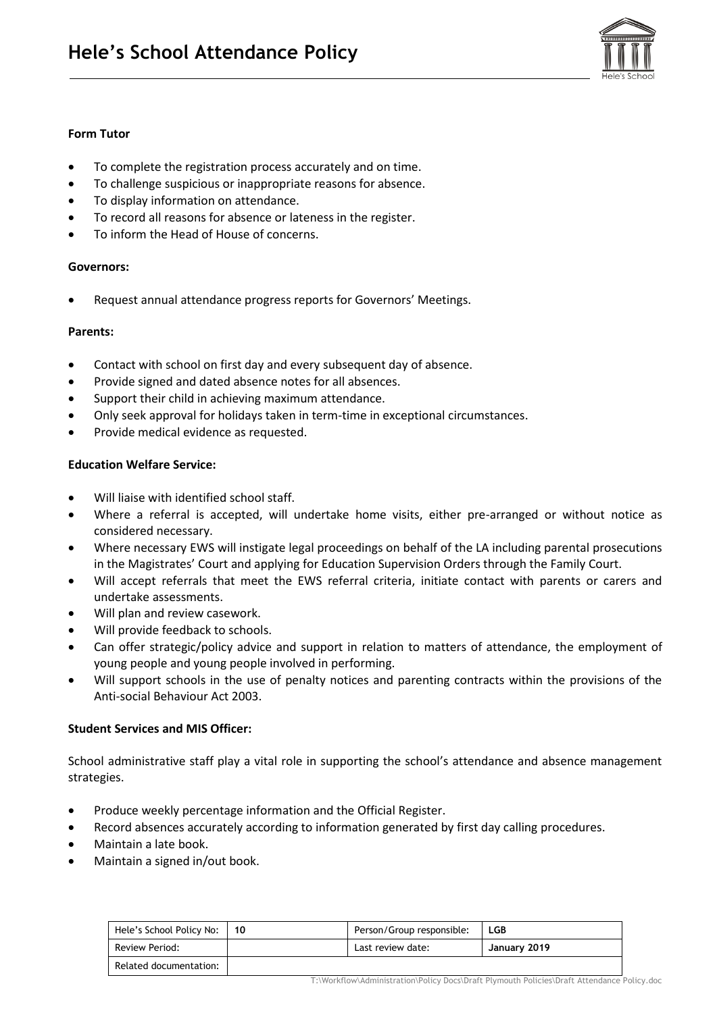

## **Form Tutor**

- To complete the registration process accurately and on time.
- To challenge suspicious or inappropriate reasons for absence.
- To display information on attendance.
- To record all reasons for absence or lateness in the register.
- To inform the Head of House of concerns.

### **Governors:**

• Request annual attendance progress reports for Governors' Meetings.

### **Parents:**

- Contact with school on first day and every subsequent day of absence.
- Provide signed and dated absence notes for all absences.
- Support their child in achieving maximum attendance.
- Only seek approval for holidays taken in term-time in exceptional circumstances.
- Provide medical evidence as requested.

### **Education Welfare Service:**

- Will liaise with identified school staff.
- Where a referral is accepted, will undertake home visits, either pre-arranged or without notice as considered necessary.
- Where necessary EWS will instigate legal proceedings on behalf of the LA including parental prosecutions in the Magistrates' Court and applying for Education Supervision Orders through the Family Court.
- Will accept referrals that meet the EWS referral criteria, initiate contact with parents or carers and undertake assessments.
- Will plan and review casework.
- Will provide feedback to schools.
- Can offer strategic/policy advice and support in relation to matters of attendance, the employment of young people and young people involved in performing.
- Will support schools in the use of penalty notices and parenting contracts within the provisions of the Anti-social Behaviour Act 2003.

# **Student Services and MIS Officer:**

School administrative staff play a vital role in supporting the school's attendance and absence management strategies.

- Produce weekly percentage information and the Official Register.
- Record absences accurately according to information generated by first day calling procedures.
- Maintain a late book.
- Maintain a signed in/out book.

| Hele's School Policy No: | 10 | Person/Group responsible: | <b>LGB</b>   |
|--------------------------|----|---------------------------|--------------|
| Review Period:           |    | Last review date:         | January 2019 |
| Related documentation:   |    |                           |              |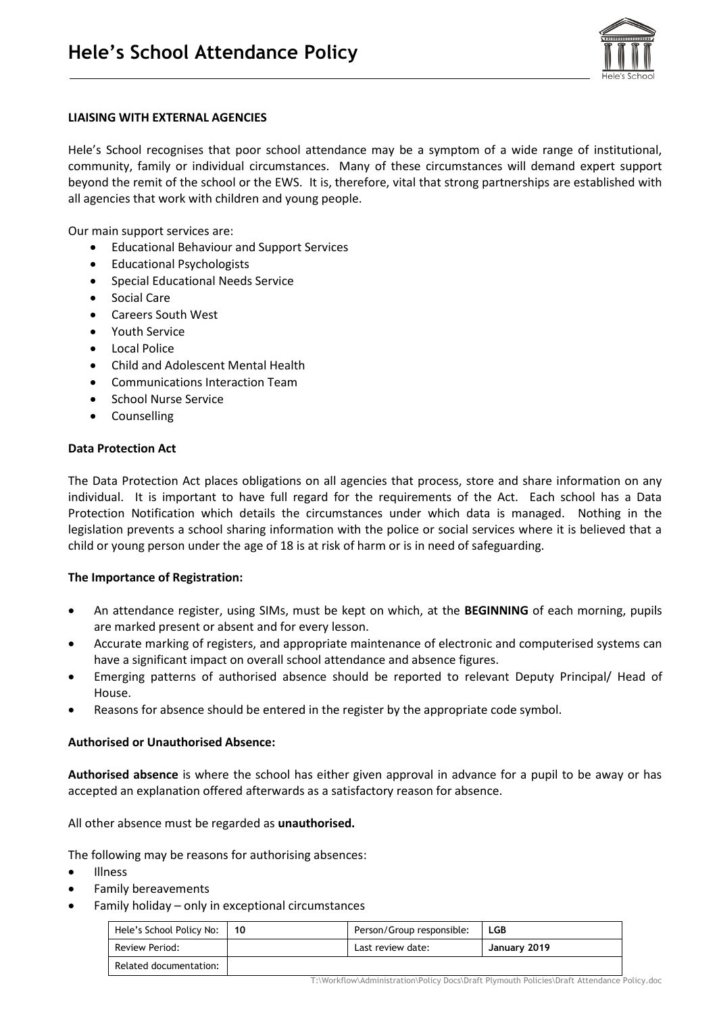

## **LIAISING WITH EXTERNAL AGENCIES**

Hele's School recognises that poor school attendance may be a symptom of a wide range of institutional, community, family or individual circumstances. Many of these circumstances will demand expert support beyond the remit of the school or the EWS. It is, therefore, vital that strong partnerships are established with all agencies that work with children and young people.

Our main support services are:

- Educational Behaviour and Support Services
- Educational Psychologists
- Special Educational Needs Service
- Social Care
- Careers South West
- Youth Service
- Local Police
- Child and Adolescent Mental Health
- Communications Interaction Team
- School Nurse Service
- Counselling

### **Data Protection Act**

The Data Protection Act places obligations on all agencies that process, store and share information on any individual. It is important to have full regard for the requirements of the Act. Each school has a Data Protection Notification which details the circumstances under which data is managed. Nothing in the legislation prevents a school sharing information with the police or social services where it is believed that a child or young person under the age of 18 is at risk of harm or is in need of safeguarding.

# **The Importance of Registration:**

- An attendance register, using SIMs, must be kept on which, at the **BEGINNING** of each morning, pupils are marked present or absent and for every lesson.
- Accurate marking of registers, and appropriate maintenance of electronic and computerised systems can have a significant impact on overall school attendance and absence figures.
- Emerging patterns of authorised absence should be reported to relevant Deputy Principal/ Head of House.
- Reasons for absence should be entered in the register by the appropriate code symbol.

### **Authorised or Unauthorised Absence:**

**Authorised absence** is where the school has either given approval in advance for a pupil to be away or has accepted an explanation offered afterwards as a satisfactory reason for absence.

All other absence must be regarded as **unauthorised.**

The following may be reasons for authorising absences:

- Illness
- Family bereavements
- Family holiday only in exceptional circumstances

| Hele's School Policy No: | 10 | Person/Group responsible: | LGB          |
|--------------------------|----|---------------------------|--------------|
| Review Period:           |    | Last review date:         | January 2019 |
| Related documentation:   |    |                           |              |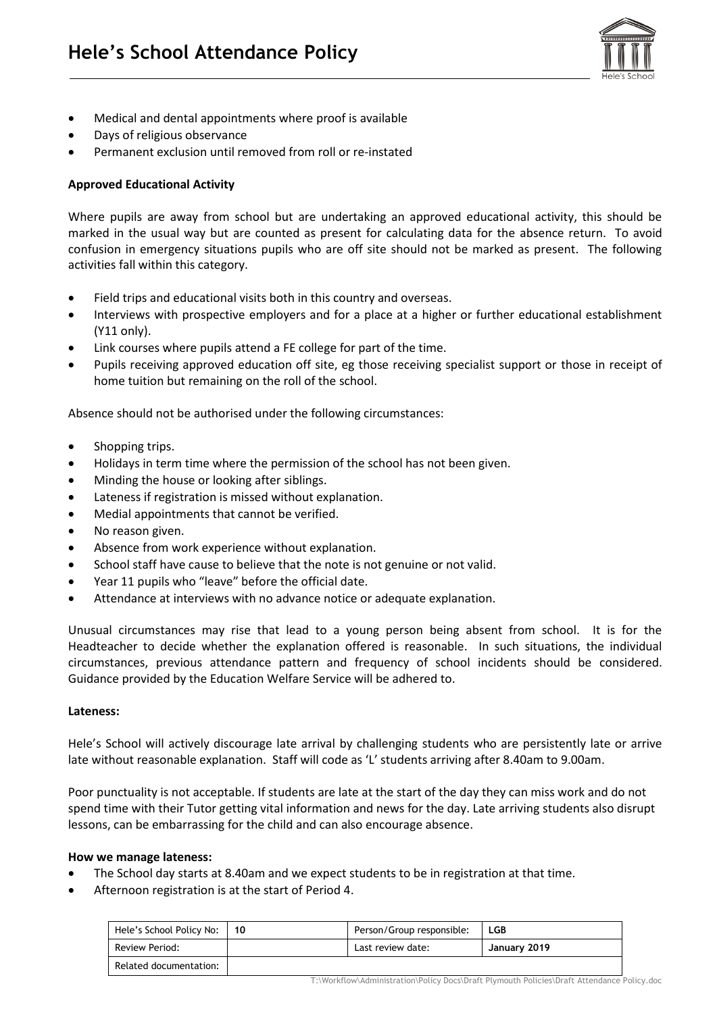

- Medical and dental appointments where proof is available
- Days of religious observance
- Permanent exclusion until removed from roll or re-instated

# **Approved Educational Activity**

Where pupils are away from school but are undertaking an approved educational activity, this should be marked in the usual way but are counted as present for calculating data for the absence return. To avoid confusion in emergency situations pupils who are off site should not be marked as present. The following activities fall within this category.

- Field trips and educational visits both in this country and overseas.
- Interviews with prospective employers and for a place at a higher or further educational establishment (Y11 only).
- Link courses where pupils attend a FE college for part of the time.
- Pupils receiving approved education off site, eg those receiving specialist support or those in receipt of home tuition but remaining on the roll of the school.

Absence should not be authorised under the following circumstances:

- Shopping trips.
- Holidays in term time where the permission of the school has not been given.
- Minding the house or looking after siblings.
- Lateness if registration is missed without explanation.
- Medial appointments that cannot be verified.
- No reason given.
- Absence from work experience without explanation.
- School staff have cause to believe that the note is not genuine or not valid.
- Year 11 pupils who "leave" before the official date.
- Attendance at interviews with no advance notice or adequate explanation.

Unusual circumstances may rise that lead to a young person being absent from school. It is for the Headteacher to decide whether the explanation offered is reasonable. In such situations, the individual circumstances, previous attendance pattern and frequency of school incidents should be considered. Guidance provided by the Education Welfare Service will be adhered to.

### **Lateness:**

Hele's School will actively discourage late arrival by challenging students who are persistently late or arrive late without reasonable explanation. Staff will code as 'L' students arriving after 8.40am to 9.00am.

Poor punctuality is not acceptable. If students are late at the start of the day they can miss work and do not spend time with their Tutor getting vital information and news for the day. Late arriving students also disrupt lessons, can be embarrassing for the child and can also encourage absence.

### **How we manage lateness:**

- The School day starts at 8.40am and we expect students to be in registration at that time.
- Afternoon registration is at the start of Period 4.

| Hele's School Policy No: | 10 | Person/Group responsible: | LGB          |
|--------------------------|----|---------------------------|--------------|
| Review Period:           |    | Last review date:         | January 2019 |
| Related documentation:   |    |                           |              |